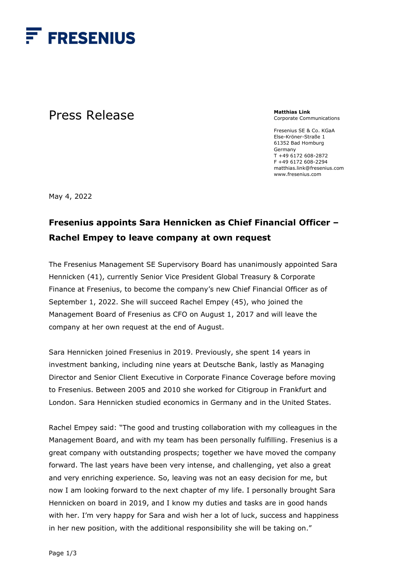

## Press Release

**Matthias Link**  Corporate Communications

Fresenius SE & Co. KGaA Else-Kröner-Straße 1 61352 Bad Homburg Germany T +49 6172 608-2872 F +49 6172 608-2294 matthias.link@fresenius.com www.fresenius.com

May 4, 2022

## **Fresenius appoints Sara Hennicken as Chief Financial Officer – Rachel Empey to leave company at own request**

The Fresenius Management SE Supervisory Board has unanimously appointed Sara Hennicken (41), currently Senior Vice President Global Treasury & Corporate Finance at Fresenius, to become the company's new Chief Financial Officer as of September 1, 2022. She will succeed Rachel Empey (45), who joined the Management Board of Fresenius as CFO on August 1, 2017 and will leave the company at her own request at the end of August.

Sara Hennicken joined Fresenius in 2019. Previously, she spent 14 years in investment banking, including nine years at Deutsche Bank, lastly as Managing Director and Senior Client Executive in Corporate Finance Coverage before moving to Fresenius. Between 2005 and 2010 she worked for Citigroup in Frankfurt and London. Sara Hennicken studied economics in Germany and in the United States.

Rachel Empey said: "The good and trusting collaboration with my colleagues in the Management Board, and with my team has been personally fulfilling. Fresenius is a great company with outstanding prospects; together we have moved the company forward. The last years have been very intense, and challenging, yet also a great and very enriching experience. So, leaving was not an easy decision for me, but now I am looking forward to the next chapter of my life. I personally brought Sara Hennicken on board in 2019, and I know my duties and tasks are in good hands with her. I'm very happy for Sara and wish her a lot of luck, success and happiness in her new position, with the additional responsibility she will be taking on."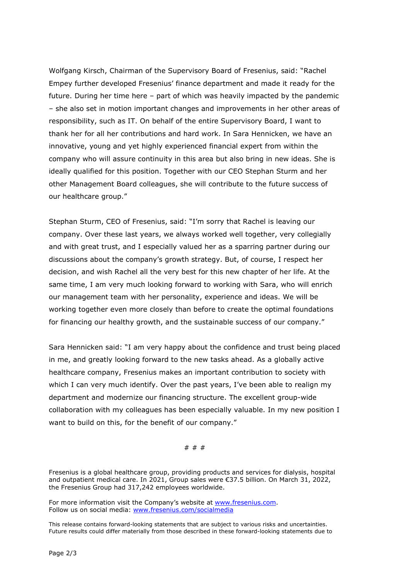Wolfgang Kirsch, Chairman of the Supervisory Board of Fresenius, said: "Rachel Empey further developed Fresenius' finance department and made it ready for the future. During her time here – part of which was heavily impacted by the pandemic – she also set in motion important changes and improvements in her other areas of responsibility, such as IT. On behalf of the entire Supervisory Board, I want to thank her for all her contributions and hard work. In Sara Hennicken, we have an innovative, young and yet highly experienced financial expert from within the company who will assure continuity in this area but also bring in new ideas. She is ideally qualified for this position. Together with our CEO Stephan Sturm and her other Management Board colleagues, she will contribute to the future success of our healthcare group."

Stephan Sturm, CEO of Fresenius, said: "I'm sorry that Rachel is leaving our company. Over these last years, we always worked well together, very collegially and with great trust, and I especially valued her as a sparring partner during our discussions about the company's growth strategy. But, of course, I respect her decision, and wish Rachel all the very best for this new chapter of her life. At the same time, I am very much looking forward to working with Sara, who will enrich our management team with her personality, experience and ideas. We will be working together even more closely than before to create the optimal foundations for financing our healthy growth, and the sustainable success of our company."

Sara Hennicken said: "I am very happy about the confidence and trust being placed in me, and greatly looking forward to the new tasks ahead. As a globally active healthcare company, Fresenius makes an important contribution to society with which I can very much identify. Over the past years, I've been able to realign my department and modernize our financing structure. The excellent group-wide collaboration with my colleagues has been especially valuable. In my new position I want to build on this, for the benefit of our company."

# # #

Fresenius is a global healthcare group, providing products and services for dialysis, hospital and outpatient medical care. In 2021, Group sales were €37.5 billion. On March 31, 2022, the Fresenius Group had 317,242 employees worldwide.

For more information visit the Company's website at [www.fresenius.com.](http://www.fresenius.com/) Follow us on social media: [www.fresenius.com/socialmedia](http://www.fresenius.com/socialmedia)

This release contains forward-looking statements that are subject to various risks and uncertainties. Future results could differ materially from those described in these forward-looking statements due to